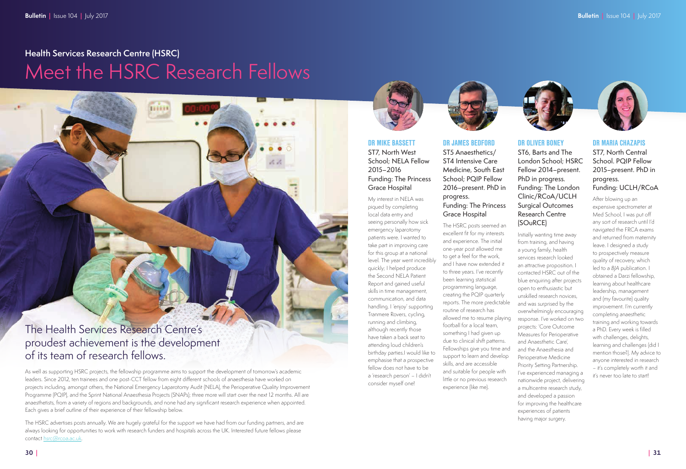DR MIKE BASSETT ST7, North West School; NELA Fellow 2015–2016 Funding: The Princess Grace Hospital

My interest in NELA was piqued by completing local data entry and seeing personally how sick emergency laparotomy patients were. I wanted to take part in improving care for this group at a national level. The year went incredibly quickly; I helped produce the Second NELA Patient Report and gained useful skills in time management, communication, and data handling. I 'enjoy' supporting Tranmere Rovers, cycling, running and climbing, although recently those have taken a back seat to attending loud children's birthday parties.I would like to emphasise that a prospective fellow does not have to be a 'research person' – I didn't consider myself one!



DR JAMES BEDFORD ST5 Anaesthetics/ ST4 Intensive Care Medicine, South East School; PQIP Fellow 2016–present. PhD in progress.

### Funding: The Princess Grace Hospital

The HSRC posts seemed an excellent fit for my interests and experience. The initial one-year post allowed me to get a feel for the work, and I have now extended it to three years. I've recently been learning statistical programming language, creating the PQIP quarterly reports. The more predictable routine of research has allowed me to resume playing football for a local team, something I had given up due to clinical shift patterns. Fellowships give you time and support to learn and develop skills, and are accessible and suitable for people with little or no previous research experience (like me).

The HSRC advertises posts annually. We are hugely grateful for the support we have had from our funding partners, and are always looking for opportunities to work with research funders and hospitals across the UK. Interested future fellows please contact [hsrc@rcoa.ac.uk.](mailto:hsrc@rcoa.ac.uk)



DR OLIVER BONEY ST6, Barts and The London School; HSRC Fellow 2014–present. PhD in progress. Funding: The London Clinic/RCoA/UCLH Surgical Outcomes Research Centre (SOuRCE) Initially wanting time away from training, and having a young family, health services research looked an attractive proposition. I contacted HSRC out of the blue enquiring after projects open to enthusiastic but unskilled research novices, and was surprised by the overwhelmingly encouraging response. I've worked on two projects: 'Core Outcome Measures for Perioperative and Anaesthetic Care', and the Anaesthesia and Perioperative Medicine Priority Setting Partnership. I've experienced managing a nationwide project, delivering a multicentre research study, and developed a passion for improving the healthcare experiences of patients having major surgery.

#### DR MARIA CHAZAPIS

ST7, North Central School. PQIP Fellow 2015–present. PhD in progress. Funding: UCLH/RCoA

After blowing up an expensive spectrometer at Med School, I was put off any sort of research until I'd navigated the FRCA exams and returned from maternity leave. I designed a study to prospectively measure quality of recovery, which led to a BJA publication. I obtained a Darzi fellowship, learning about healthcare leadership, management and (my favourite) quality improvement. I'm currently completing anaesthetic training and working towards a PhD. Every week is filled with challenges, delights, learning and challenges (did I mention those?). My advice to anyone interested in research – it's completely worth it and it's never too late to start!

The Health Services Research Centre's proudest achievement is the development of its team of research fellows.

As well as supporting HSRC projects, the fellowship programme aims to support the development of tomorrow's academic leaders. Since 2012, ten trainees and one post-CCT fellow from eight different schools of anaesthesia have worked on projects including, amongst others, the National Emergency Laparotomy Audit (NELA), the Perioperative Quality Improvement Programme (PQIP), and the Sprint National Anaesthesia Projects (SNAPs); three more will start over the next 12 months. All are anaesthetists, from a variety of regions and backgrounds, and none had any significant research experience when appointed. Each gives a brief outline of their experience of their fellowship below.

# **Health Services Research Centre (HSRC)** Meet the HSRC Research Fellows

THEFT



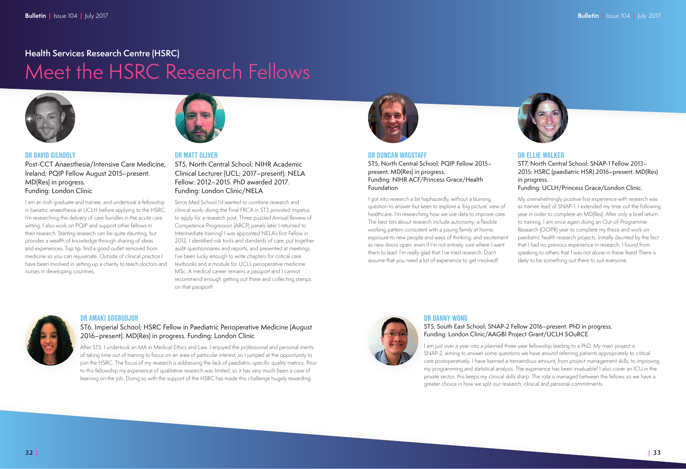#### DR DAVID GILHOOLY

Post-CCT Anaesthesia/Intensive Care Medicine, Ireland; PQIP Fellow August 2015–present. MD(Res) in progress. Funding: London Clinic

I am an Irish graduate and trainee, and undertook a fellowship in bariatric anaesthesia at UCLH before applying to the HSRC. I'm researching the delivery of care bundles in the acute care setting. I also work on PQIP and support other fellows in their research. Starting research can be quite daunting, but provides a wealth of knowledge through sharing of ideas and experiences. Top tip: find a good outlet removed from medicine so you can rejuvenate. Outside of clinical practice I have been involved in setting up a charity to teach doctors and nurses in developing countries.



#### DR MATT OLIVER

ST5, North Central School; NIHR Academic Clinical Lecturer (UCL; 2017–present); NELA Fellow: 2012–2015. PhD awarded 2017. Funding: London Clinic/NELA

Since Med School I'd wanted to combine research and clinical work; doing the Final FRCA in ST3 provided impetus to apply for a research post. Three puzzled Annual Review of Competence Progression (ARCP) panels later I returned to Intermediate training! I was appointed NELA's first Fellow in 2012. I identified risk tools and standards of care, put together audit questionnaires and reports, and presented at meetings. I've been lucky enough to write chapters for critical care textbooks and a module for UCL's perioperative medicine MSc. A medical career remains a passport and I cannot recommend enough getting out there and collecting stamps on that passport!



#### DR DUNCAN WAGSTAFF

ST5, North Central School; PQIP Fellow 2015– present. MD(Res) in progress. Funding: NIHR ACF/Princess Grace/Health Foundation

I got into research a bit haphazardly, without a burning question to answer but keen to explore a 'big picture' view of healthcare. I'm researching how we use data to improve care. The best bits about research include autonomy; a flexible working pattern consistent with a young family at home; exposure to new people and ways of thinking; and excitement as new doors open, even if I'm not entirely sure where I want them to lead. I'm really glad that I've tried research. Don't assume that you need a lot of experience to get involved!



#### DR ELLIE WALKER

#### ST7, North Central School; SNAP-1 Fellow 2013– 2015; HSRC (paediatric HSR) 2016–present. MD(Res) in progress.

#### Funding: UCLH/Princess Grace/London Clinic.

My overwhelmingly positive first experience with research was as trainee lead of SNAP-1. I extended my time out the following year in order to complete an MD(Res). After only a brief return to training, I am once again doing an Out-of-Programme-Research (OOPR) year to complete my thesis and work on paediatric health research projects. Initially daunted by the fact that I had no previous experience in research, I found from speaking to others that I was not alone in these fears! There is likely to be something out there to suit everyone.

#### DR AMAKI SOGBODJOR

ST6, Imperial School; HSRC Fellow in Paediatric Perioperative Medicine (August 2016–present). MD(Res) in progress. Funding: London Clinic

After ST5, I undertook an MA in Medical Ethics and Law. I enjoyed the professional and personal merits of taking time out of training to focus on an area of particular interest, so I jumped at the opportunity to join the HSRC. The focus of my research is addressing the lack of paediatric-specific quality metrics. Prior to this fellowship my experience of qualitative research was limited, so it has very much been a case of learning on the job. Doing so with the support of the HSRC has made this challenge hugely rewarding.



#### DR DANNY WONG

#### ST5, South East School; SNAP-2 Fellow 2016–present. PhD in progress. Funding: London Clinic/AAGBI Project Grant/UCLH SOuRCE

I am just over a year into a planned three-year fellowship leading to a PhD. My main project is SNAP-2, aiming to answer some questions we have around referring patients appropriately to critical care postoperatively. I have learned a tremendous amount, from project management skills, to improving my programming and statistical analysis. The experience has been invaluable! I also cover an ICU in the private sector; this keeps my clinical skills sharp. The rota is managed between the fellows so we have a greater choice in how we split our research, clinical and personal commitments.

## **Health Services Research Centre (HSRC)**

# Meet the HSRC Research Fellows